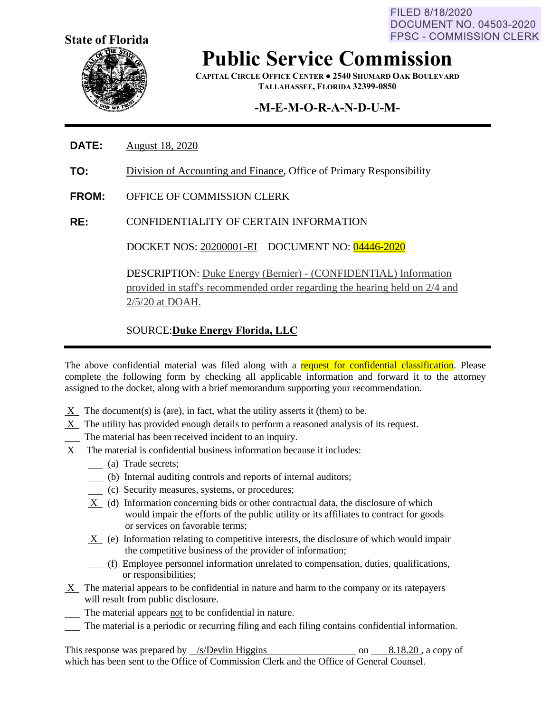FILED 8/18/2020 **DOCUMENT NO. 04503-2020 FPSC - COMMISSION CLERK** 



**Public Service Commission**

**CAPITAL CIRCLE OFFICE CENTER ● 2540 SHUMARD OAK BOULEVARD TALLAHASSEE, FLORIDA 32399-0850**

## **-M-E-M-O-R-A-N-D-U-M-**

- **DATE:** August 18, 2020
- **TO:** Division of Accounting and Finance, Office of Primary Responsibility
- **FROM:** OFFICE OF COMMISSION CLERK
- **RE:** CONFIDENTIALITY OF CERTAIN INFORMATION

DOCKET NOS: 20200001-EI DOCUMENT NO: 04446-2020

DESCRIPTION: Duke Energy (Bernier) - (CONFIDENTIAL) Information provided in staff's recommended order regarding the hearing held on 2/4 and 2/5/20 at DOAH.

### SOURCE:**Duke Energy Florida, LLC**

The above confidential material was filed along with a request for confidential classification. Please complete the following form by checking all applicable information and forward it to the attorney assigned to the docket, along with a brief memorandum supporting your recommendation.

- $X$  The document(s) is (are), in fact, what the utility asserts it (them) to be.
- X The utility has provided enough details to perform a reasoned analysis of its request.
- The material has been received incident to an inquiry.
- X The material is confidential business information because it includes:
	- (a) Trade secrets;
	- (b) Internal auditing controls and reports of internal auditors;
	- (c) Security measures, systems, or procedures;
	- X (d) Information concerning bids or other contractual data, the disclosure of which would impair the efforts of the public utility or its affiliates to contract for goods or services on favorable terms;
	- $X$  (e) Information relating to competitive interests, the disclosure of which would impair the competitive business of the provider of information;
	- (f) Employee personnel information unrelated to compensation, duties, qualifications, or responsibilities;
- $X$  The material appears to be confidential in nature and harm to the company or its ratepayers will result from public disclosure.
- The material appears not to be confidential in nature.
- The material is a periodic or recurring filing and each filing contains confidential information.

This response was prepared by /s/Devlin Higgins on 8.18.20, a copy of which has been sent to the Office of Commission Clerk and the Office of General Counsel.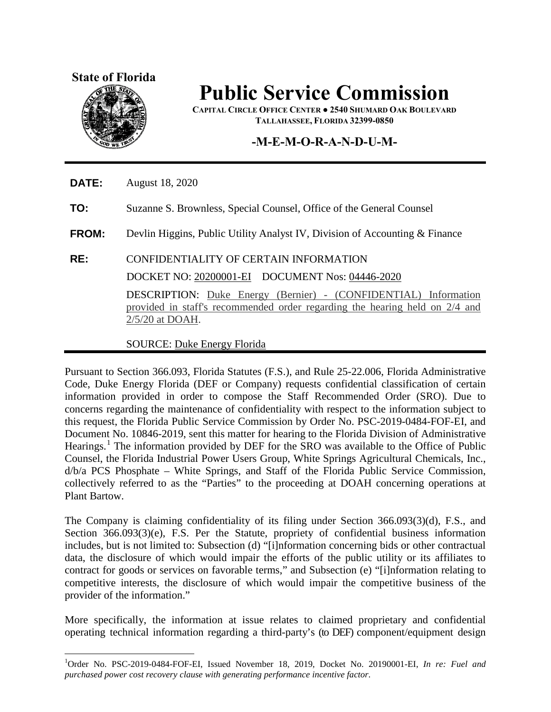### **State of Florida**



 $\overline{a}$ 

# **Public Service Commission**

**CAPITAL CIRCLE OFFICE CENTER ● 2540 SHUMARD OAK BOULEVARD TALLAHASSEE, FLORIDA 32399-0850**

### **-M-E-M-O-R-A-N-D-U-M-**

**DATE:** August 18, 2020

**TO:** Suzanne S. Brownless, Special Counsel, Office of the General Counsel

**FROM:** Devlin Higgins, Public Utility Analyst IV, Division of Accounting & Finance

### **RE:** CONFIDENTIALITY OF CERTAIN INFORMATION

DOCKET NO: 20200001-EI DOCUMENT Nos: 04446-2020

DESCRIPTION: Duke Energy (Bernier) - (CONFIDENTIAL) Information provided in staff's recommended order regarding the hearing held on 2/4 and 2/5/20 at DOAH.

#### SOURCE: Duke Energy Florida

Pursuant to Section 366.093, Florida Statutes (F.S.), and Rule 25-22.006, Florida Administrative Code, Duke Energy Florida (DEF or Company) requests confidential classification of certain information provided in order to compose the Staff Recommended Order (SRO). Due to concerns regarding the maintenance of confidentiality with respect to the information subject to this request, the Florida Public Service Commission by Order No. PSC-2019-0484-FOF-EI, and Document No. 10846-2019, sent this matter for hearing to the Florida Division of Administrative Hearings.<sup>[1](#page-1-0)</sup> The information provided by DEF for the SRO was available to the Office of Public Counsel, the Florida Industrial Power Users Group, White Springs Agricultural Chemicals, Inc., d/b/a PCS Phosphate – White Springs, and Staff of the Florida Public Service Commission, collectively referred to as the "Parties" to the proceeding at DOAH concerning operations at Plant Bartow.

The Company is claiming confidentiality of its filing under Section 366.093(3)(d), F.S., and Section 366.093(3)(e), F.S. Per the Statute, propriety of confidential business information includes, but is not limited to: Subsection (d) "[i]nformation concerning bids or other contractual data, the disclosure of which would impair the efforts of the public utility or its affiliates to contract for goods or services on favorable terms," and Subsection (e) "[i]nformation relating to competitive interests, the disclosure of which would impair the competitive business of the provider of the information."

More specifically, the information at issue relates to claimed proprietary and confidential operating technical information regarding a third-party's (to DEF) component/equipment design

<span id="page-1-0"></span><sup>1</sup> Order No. PSC-2019-0484-FOF-EI, Issued November 18, 2019, Docket No. 20190001-EI, *In re: Fuel and purchased power cost recovery clause with generating performance incentive factor*.